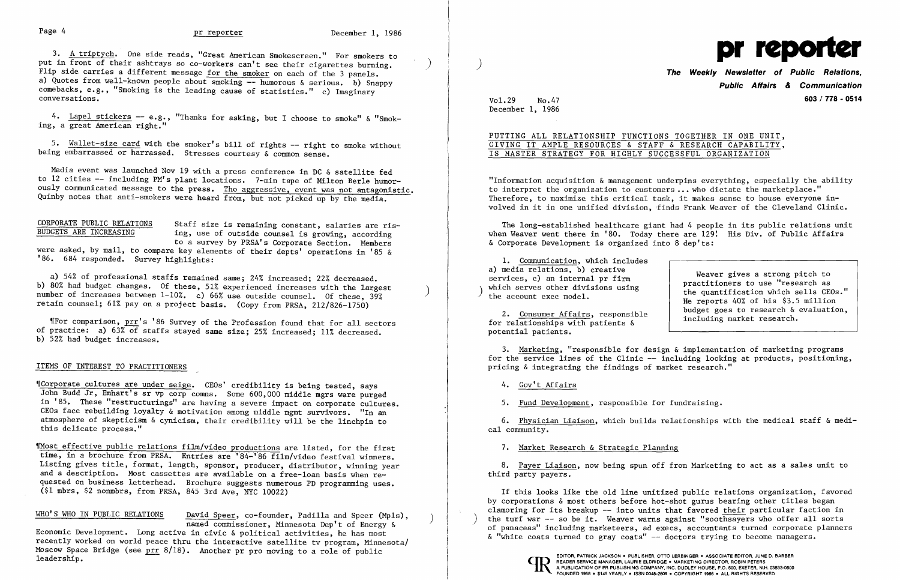3. A triptych. One side reads, "Great American Smokescreen." For smokers to put in front of their ashtrays so co-workers can't see their cigarettes burning.  $\blacksquare$  ) The Weekly Newsletter of Public Relations. Flip side carries a different message for the smoker on each of the 3 panels. a) Quotes from well-known people about smoking -- humorous & serious. b) Snappy comebacks, e.g., "Smoking is the leading cause of statistics." c) Imaginary conversations.

4. <u>Lapel stickers</u> -- e.g., "Thanks for asking, but I choose to smoke" & "Smok-<br>, a great American right." ing, a great American right."

5. Wallet-size card with the smoker's bill of rights -- right to smoke without being embarrassed or harrassed. Stresses courtesy & common sense.

Media event was launched Nov 19 with a press conference in DC & satellite fed to 12 cities -- including PM's plant locations. 7-min tape of Milton Berle humorously communicated message to the press. Tho aggressive, event was not antagonistic. Quinby notes that anti-smokers were heard from, but not picked up by the media.

# BUDGETS ARE INCREASING

"Corporate cultures are under seige. CEOs' credibility is being tested, says John Budd Jr, Emhart's sr vp corp comns. Some 600,000 middle mgrs were purged in '85. These "restructurings" are having a severe impact on corporate cultures. CEOs face rebuilding loyalty & motivation among middle mgmt survivors. "In an atmosphere of skepticism & cynicism, their credibility will be the linchpin to this delicate process."

CORPORATE PUBLIC RELATIONS Staff size is remaining constant, salaries are ris ing, use of outside counsel is growing, according to a survey by PRSA's Corporate Section. Members

were asked, by mail, to compare key elements of their depts' operations in '85 & '86. 684 responded. Survey highlights:

Wost effective public relations film/video productions are listed, for the first time, in a brochure from PRSA. Entries are '84-'86 film/video festival winners. Listing gives title, format, length, sponsor, producer, distributor, winning year and a description. Most cassettes are available on a free-loan basis when requested on business letterhead. Brochure suggests numerous PD programming uses. (\$1 mbrs, \$2 nonmbrs, from PRSA, 845 3rd Ave, NYC 10022)

Economic Development. Long active in civic & political activities, he has most recently worked on world peace thru the interactive satellite tv program, Minnesota/<br>Moscow Space Bridge (see prr 8/18). Another pr pro moving to a role of public 1eadership. The Company, Inc. During to the Company of the Company of the Company of the Company of the Company<br>PREADER SERVICE MANAGER, LAURIE ELDRIDGE . MARKETING DIRECTOR, ROBIN PETERS<br>A PUBLICATION OF PR PUBLICATION OF

a) 54% of professional staffs remained same; 24% increased; 22% decreased. b) 80% had budget changes. Of these, 51% experienced increases with the largest number of increases between 1-10%. c) 66% use outside counsel. Of these, 39% retain counsel; 61% pay on a project basis. (Copy from PRSA, 212/826-1750)

'[For comparison, prr's '86 Survey of the Profession found that for all sectors of practice: a) 63% of staffs stayed same size; 25% increased; 11% decreased. b) 52% had budget increases.

"Information acquisition  $\&$  management underpins everything, especially the ability to interpret the organization to customers .•• who dictate the marketplace." Therefore, to maximize this critical task, it makes sense to house everyone involved in it in one unified division, finds Frank Weaver of the Cleveland Clinic.

### ITEMS OF INTEREST TO PRACTITIONERS

1. Communication, which includes a) media relations, b) creative<br>services, c) an internal pr firm

WHO'S WHO IN PUBLIC RELATIONS David Speer, co-founder, Padilla and Speer (Mpls), named commissioner, Minnesota Dep't of Energy &

)

**Public Affairs & Communication**  Vol.29 No.47 **603/778 - 0514** 

a) media relations, b) creative<br>services, c) an internal pr firm<br>which serves other divisions using<br>the account exec model.<br>He reports 40% of his \$3.5 million 2. Consumer Affairs, responsible  $\left\{\n\begin{array}{c}\n\text{budget goes to research & evaluation,} \\
\text{for relationships with patients & including market research.\n\end{array}\n\right\}$ 

December 1, 1986

## PUTTING ALL RELATIONSHIP FUNCTIONS TOGETHER IN ONE UNIT, GIVING IT AMPLE RESOURCES & STAFF & RESEARCH CAPABILITY, IS MASTER STRATEGY FOR HIGHLY SUCCESSFUL ORGANIZATION

The long-established healthcare giant had 4 people in its public relations unit when Weaver went there in '80. Today there are 129! His Div. of Public Affairs & Corporate Development is organized into 8 dep'ts:

potential patients.

3. Marketing, "responsible for design & implementation of marketing programs for the service lines of the Clinic -- including looking at products, positioning, pricing & integrating the findings of market research."

4. Gov't Affairs

5. Fund Development, responsible for fundraising.

6. Physician Liaison, which builds relationships with the medical staff & medical community.

7. Market Research & Strategic Planning

8. Payer Liaison, now being spun off from Marketing to act as a sales unit to third party payers.

If this looks like the old line unitized public relations organization, favored by corporations & most others before hot-shot gurus bearing other titles began clamoring for its breakup -- into units that favored their particular faction in the turf war  $-$  so be it. Weaver warns against "soothsayers who offer all sorts of panaceas" including marketeers, ad execs, accountants turned corporate planners & "white coats turned to gray coats" -- doctors trying to become managers.





)

 $\sim 10^{-1}$